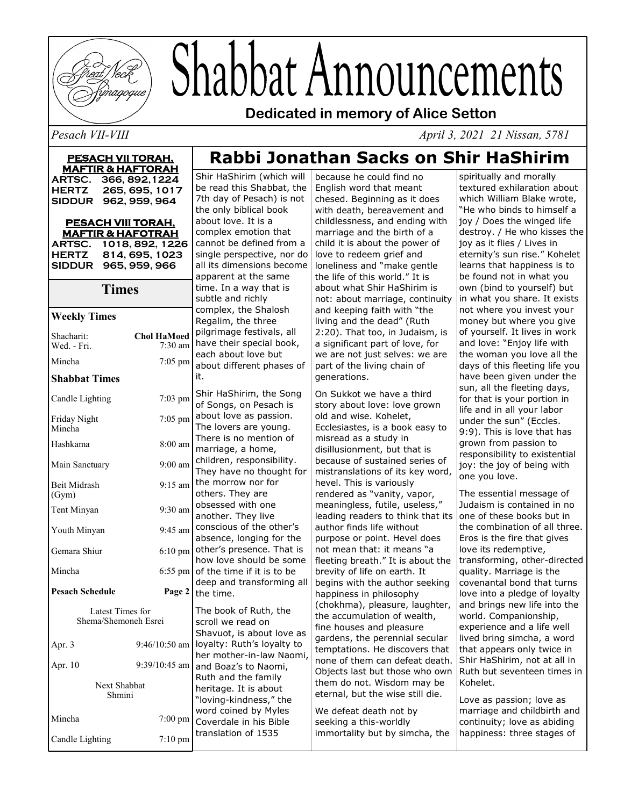

# Shabbat Announcements

**Dedicated in memory of Alice Setton**

*Pesach VII-VIII April 3, 2021 21 Nissan, 5781*

| <u>PESACH VII TORAH,</u><br><b>MAFTIR &amp; HAFTORAH</b> |                                 |                         |
|----------------------------------------------------------|---------------------------------|-------------------------|
| ARTSC.                                                   | 366, 892, 1224                  | Shir                    |
| <b>HERTZ</b><br>SIDDUR 962, 959, 964                     | 265, 695, 1017                  | be re<br>7th c          |
|                                                          |                                 |                         |
| PESACH VIII TORAH.<br><b>MAFTIR &amp; HAFOTRAH</b>       |                                 | abou<br>comp            |
| ARTSC. 1018, 892, 1226                                   | cann                            |                         |
| HERTZ 814, 695, 1023<br>965, 959, 966<br><b>SIDDUR</b>   | single<br>all its               |                         |
| <b>Times</b>                                             | appa<br>time.<br>subtl<br>comp  |                         |
|                                                          |                                 |                         |
| <b>Weekly Times</b>                                      |                                 |                         |
| Shacharit:<br>Wed. - Fri.                                | <b>Chol HaMoed</b><br>$7:30$ am | pilgri<br>have          |
| Mincha                                                   | $7:05$ pm                       | each<br>abou            |
| it.<br><b>Shabbat Times</b>                              |                                 |                         |
| Candle Lighting                                          | 7:03 pm                         | Shir<br>of Sc           |
| Friday Night<br>Mincha                                   | 7:05 pm                         | abou<br>The I           |
| Hashkama                                                 | 8:00 am                         | There<br>marr           |
| Main Sanctuary                                           | $9:00$ am                       | child<br>They           |
| Beit Midrash<br>(Gym)                                    | $9:15$ am                       | the n<br>other          |
| Tent Minyan                                              | $9:30$ am                       | obse:<br>anotl          |
| Youth Minyan                                             | 9:45 am                         | cons<br>abse            |
| Gemara Shiur                                             | $6:10 \text{ pm}$               | other<br>how            |
| Mincha                                                   | 6:55 pm                         | of th<br>deep           |
| <b>Pesach Schedule</b>                                   | Page 2                          | the t                   |
| Latest Times for<br>Shema/Shemoneh Esrei                 |                                 | The l<br>scrol          |
| Apr. 3                                                   | $9:46/10:50$ am                 | Shav<br>loyal<br>her n  |
| Apr. 10                                                  | 9:39/10:45 am                   | and I                   |
| Next Shabbat<br>Shmini                                   |                                 | Ruth<br>herit<br>"lovir |
| Mincha                                                   | 7:00 pm                         | word<br>Cove            |
| Candle Lighting                                          | $7:10 \text{ pm}$               | trans                   |

## **Rabbi Jonathan Sacks on Shir HaShirim**

HaShirim (which will ad this Shabbat, the lay of Pesach) is not nly biblical book t love. It is a blex emotion that ot be defined from a e perspective, nor do s dimensions become rent at the same In a way that is le and richly blex, the Shalosh Ilim, the three image festivals, all their special book, about love but t different phases of HaShirim, the Song ngs, on Pesach is t love as passion. overs are young. e is no mention of iage, a home, ren, responsibility. have no thought for norrow nor for s. They are ssed with one her. They live cious of the other's nce, longing for the 's presence. That is love should be some e time if it is to be and transforming all ime. book of Ruth, the we read on

uot, is about love as ty: Ruth's loyalty to nother-in-law Naomi, Boaz's to Naomi, and the family age. It is about ng-kindness," the coined by Myles rdale in his Bible lation of 1535

because he could find no English word that meant chesed. Beginning as it does with death, bereavement and childlessness, and ending with marriage and the birth of a child it is about the power of love to redeem grief and loneliness and "make gentle the life of this world." It is about what Shir HaShirim is not: about marriage, continuity and keeping faith with "the living and the dead" (Ruth 2:20). That too, in Judaism, is a significant part of love, for we are not just selves: we are part of the living chain of generations.

On Sukkot we have a third story about love: love grown old and wise. Kohelet, Ecclesiastes, is a book easy to misread as a study in disillusionment, but that is because of sustained series of mistranslations of its key word, hevel. This is variously rendered as "vanity, vapor, meaningless, futile, useless," leading readers to think that its author finds life without purpose or point. Hevel does not mean that: it means "a fleeting breath." It is about the brevity of life on earth. It begins with the author seeking happiness in philosophy (chokhma), pleasure, laughter, the accumulation of wealth, fine houses and pleasure gardens, the perennial secular temptations. He discovers that none of them can defeat death. Objects last but those who own them do not. Wisdom may be eternal, but the wise still die.

We defeat death not by seeking a this-worldly immortality but by simcha, the

spiritually and morally textured exhilaration about which William Blake wrote, "He who binds to himself a joy / Does the winged life destroy. / He who kisses the joy as it flies / Lives in eternity's sun rise." Kohelet learns that happiness is to be found not in what you own (bind to yourself) but in what you share. It exists not where you invest your money but where you give of yourself. It lives in work and love: "Enjoy life with the woman you love all the days of this fleeting life you have been given under the sun, all the fleeting days, for that is your portion in life and in all your labor under the sun" (Eccles. 9:9). This is love that has grown from passion to responsibility to existential joy: the joy of being with one you love.

The essential message of Judaism is contained in no one of these books but in the combination of all three. Eros is the fire that gives love its redemptive, transforming, other-directed quality. Marriage is the covenantal bond that turns love into a pledge of loyalty and brings new life into the world. Companionship, experience and a life well lived bring simcha, a word that appears only twice in Shir HaShirim, not at all in Ruth but seventeen times in Kohelet.

Love as passion; love as marriage and childbirth and continuity; love as abiding happiness: three stages of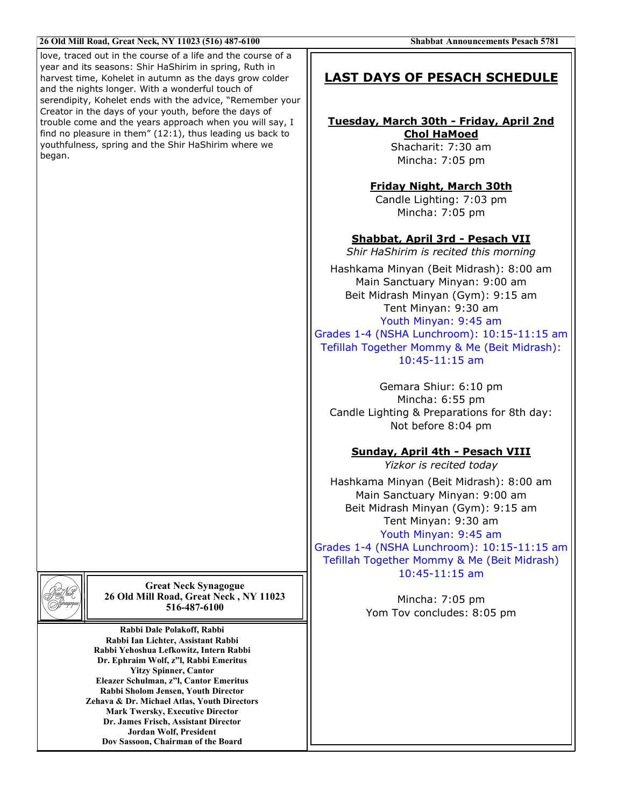| 26 Old Mill Road, Great Neck, NY 11023 (516) 487-6100                                                                                                                                                                                                                                                                                                                                                                                                                  | <b>Shabbat Announcements Pesach 5781</b>                                                                                                                                                                                                                                              |  |
|------------------------------------------------------------------------------------------------------------------------------------------------------------------------------------------------------------------------------------------------------------------------------------------------------------------------------------------------------------------------------------------------------------------------------------------------------------------------|---------------------------------------------------------------------------------------------------------------------------------------------------------------------------------------------------------------------------------------------------------------------------------------|--|
| love, traced out in the course of a life and the course of a<br>year and its seasons: Shir HaShirim in spring, Ruth in<br>harvest time, Kohelet in autumn as the days grow colder<br>and the nights longer. With a wonderful touch of                                                                                                                                                                                                                                  | <b>LAST DAYS OF PESACH SCHEDULE</b>                                                                                                                                                                                                                                                   |  |
| serendipity, Kohelet ends with the advice, "Remember your<br>Creator in the days of your youth, before the days of<br>trouble come and the years approach when you will say, I<br>find no pleasure in them" $(12:1)$ , thus leading us back to<br>youthfulness, spring and the Shir HaShirim where we<br>began.                                                                                                                                                        | Tuesday, March 30th - Friday, April 2nd<br><b>Chol HaMoed</b><br>Shacharit: 7:30 am<br>Mincha: 7:05 pm                                                                                                                                                                                |  |
|                                                                                                                                                                                                                                                                                                                                                                                                                                                                        | <b>Friday Night, March 30th</b><br>Candle Lighting: 7:03 pm<br>Mincha: 7:05 pm                                                                                                                                                                                                        |  |
|                                                                                                                                                                                                                                                                                                                                                                                                                                                                        | Shabbat, April 3rd - Pesach VII<br>Shir HaShirim is recited this morning                                                                                                                                                                                                              |  |
|                                                                                                                                                                                                                                                                                                                                                                                                                                                                        | Hashkama Minyan (Beit Midrash): 8:00 am<br>Main Sanctuary Minyan: 9:00 am<br>Beit Midrash Minyan (Gym): 9:15 am<br>Tent Minyan: 9:30 am<br>Youth Minyan: 9:45 am<br>Grades 1-4 (NSHA Lunchroom): 10:15-11:15 am<br>Tefillah Together Mommy & Me (Beit Midrash):<br>$10:45 - 11:15$ am |  |
|                                                                                                                                                                                                                                                                                                                                                                                                                                                                        | Gemara Shiur: 6:10 pm<br>Mincha: 6:55 pm<br>Candle Lighting & Preparations for 8th day:<br>Not before 8:04 pm                                                                                                                                                                         |  |
|                                                                                                                                                                                                                                                                                                                                                                                                                                                                        | Sunday, April 4th - Pesach VIII<br>Yizkor is recited today                                                                                                                                                                                                                            |  |
|                                                                                                                                                                                                                                                                                                                                                                                                                                                                        | Hashkama Minyan (Beit Midrash): 8:00 am<br>Main Sanctuary Minyan: 9:00 am<br>Beit Midrash Minyan (Gym): 9:15 am<br>Tent Minyan: 9:30 am<br>Youth Minyan: 9:45 am<br>Grades 1-4 (NSHA Lunchroom): 10:15-11:15 am<br>Tefillah Together Mommy & Me (Beit Midrash)                        |  |
| <b>Great Neck Synagogue</b><br>26 Old Mill Road, Great Neck, NY 11023<br>516-487-6100                                                                                                                                                                                                                                                                                                                                                                                  | $10:45 - 11:15$ am<br>Mincha: 7:05 pm<br>Yom Tov concludes: 8:05 pm                                                                                                                                                                                                                   |  |
| Rabbi Dale Polakoff, Rabbi<br>Rabbi Ian Lichter, Assistant Rabbi<br>Rabbi Yehoshua Lefkowitz, Intern Rabbi<br>Dr. Ephraim Wolf, z"l, Rabbi Emeritus<br><b>Yitzy Spinner, Cantor</b><br>Eleazer Schulman, z"l, Cantor Emeritus<br>Rabbi Sholom Jensen, Youth Director<br>Zehava & Dr. Michael Atlas, Youth Directors<br><b>Mark Twersky, Executive Director</b><br>Dr. James Frisch, Assistant Director<br>Jordan Wolf, President<br>Dov Sassoon, Chairman of the Board |                                                                                                                                                                                                                                                                                       |  |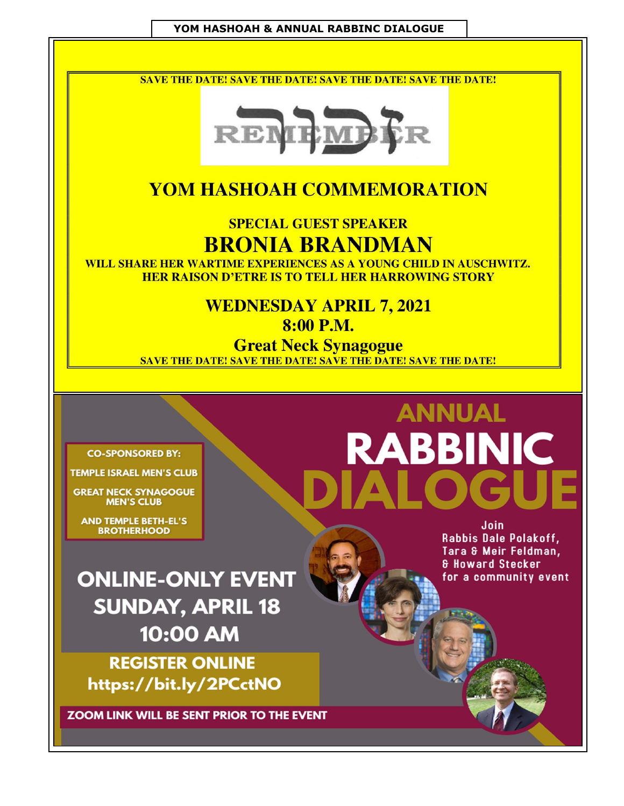#### YOM HASHOAH & ANNUAL RABBINC DIALOGUE

**SAVE THE DATE! SAVE THE DATE! SAVE THE DATE! SAVE THE DATE!** 



### **YOM HASHOAH COMMEMORATION**

**SPECIAL GUEST SPEAKER BRONIA BRANDMAN** 

WILL SHARE HER WARTIME EXPERIENCES AS A YOUNG CHILD IN AUSCHWITZ. **HER RAISON D'ETRE IS TO TELL HER HARROWING STORY** 

# **WEDNESDAY APRIL 7, 2021**

8:00 P.M.

**Great Neck Synagogue SAVE THE DATE! SAVE THE DATE! SAVE THE DATE! SAVE THE DATE!** 

#### **CO-SPONSORED BY:**

**TEMPLE ISRAEL MEN'S CLUB** 

**GREAT NECK SYNAGOGUE MEN'S CLUB** 

**AND TEMPLE BETH-EL'S BROTHERHOOD** 

**ANNUAL RABBINIC** 

**ONLINE-ONLY EVENT SUNDAY, APRIL 18** 10:00 AM

**REGISTER ONLINE** https://bit.ly/2PCctNO

ZOOM LINK WILL BE SENT PRIOR TO THE EVENT

Join Rabbis Dale Polakoff, Tara & Meir Feldman. **& Howard Stecker** for a community event